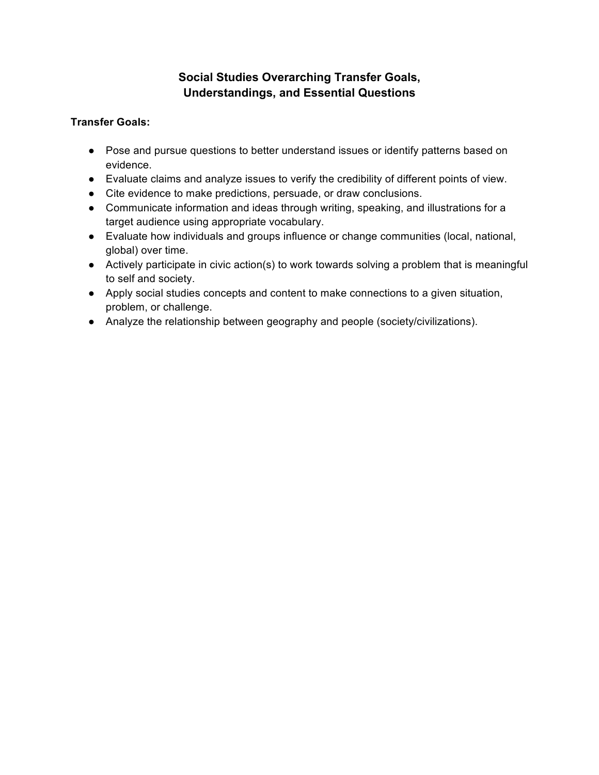# **Social Studies Overarching Transfer Goals, Understandings, and Essential Questions**

#### **Transfer Goals:**

- Pose and pursue questions to better understand issues or identify patterns based on evidence.
- Evaluate claims and analyze issues to verify the credibility of different points of view.
- Cite evidence to make predictions, persuade, or draw conclusions.
- Communicate information and ideas through writing, speaking, and illustrations for a target audience using appropriate vocabulary.
- Evaluate how individuals and groups influence or change communities (local, national, global) over time.
- Actively participate in civic action(s) to work towards solving a problem that is meaningful to self and society.
- Apply social studies concepts and content to make connections to a given situation, problem, or challenge.
- Analyze the relationship between geography and people (society/civilizations).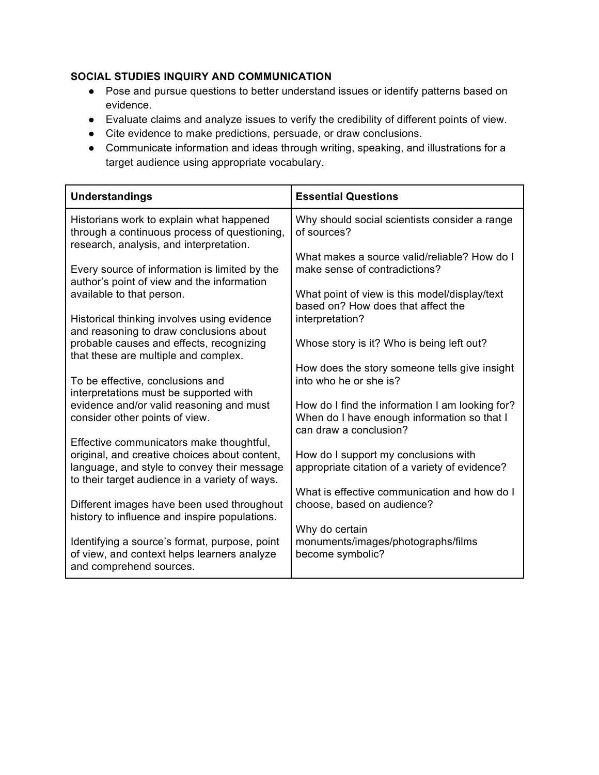### **SOCIAL STUDIES INQUIRY AND COMMUNICATION**

- Pose and pursue questions to better understand issues or identify patterns based on evidence.
- Evaluate claims and analyze issues to verify the credibility of different points of view.
- Cite evidence to make predictions, persuade, or draw conclusions.
- Communicate information and ideas through writing, speaking, and illustrations for a target audience using appropriate vocabulary.

| <b>Essential Questions</b>                                                                                               |
|--------------------------------------------------------------------------------------------------------------------------|
| Why should social scientists consider a range<br>of sources?                                                             |
| What makes a source valid/reliable? How do I<br>make sense of contradictions?                                            |
| What point of view is this model/display/text<br>based on? How does that affect the                                      |
| interpretation?                                                                                                          |
| Whose story is it? Who is being left out?                                                                                |
| How does the story someone tells give insight<br>into who he or she is?                                                  |
| How do I find the information I am looking for?<br>When do I have enough information so that I<br>can draw a conclusion? |
| How do I support my conclusions with                                                                                     |
| appropriate citation of a variety of evidence?                                                                           |
| What is effective communication and how do I<br>choose, based on audience?                                               |
| Why do certain                                                                                                           |
| monuments/images/photographs/films<br>become symbolic?                                                                   |
|                                                                                                                          |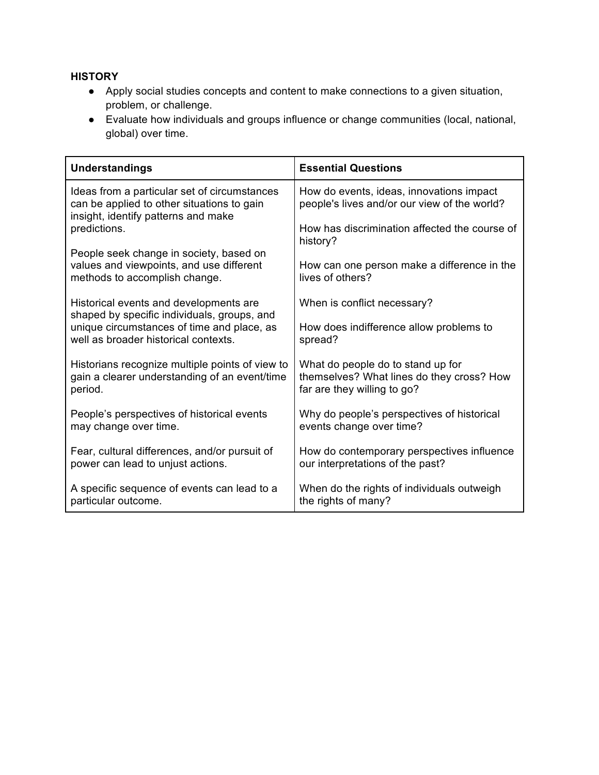#### **HISTORY**

- Apply social studies concepts and content to make connections to a given situation, problem, or challenge.
- Evaluate how individuals and groups influence or change communities (local, national, global) over time.

| <b>Understandings</b>                                                                                                             | <b>Essential Questions</b>                                                               |
|-----------------------------------------------------------------------------------------------------------------------------------|------------------------------------------------------------------------------------------|
| Ideas from a particular set of circumstances<br>can be applied to other situations to gain<br>insight, identify patterns and make | How do events, ideas, innovations impact<br>people's lives and/or our view of the world? |
| predictions.                                                                                                                      | How has discrimination affected the course of<br>history?                                |
| People seek change in society, based on<br>values and viewpoints, and use different<br>methods to accomplish change.              | How can one person make a difference in the<br>lives of others?                          |
| Historical events and developments are<br>shaped by specific individuals, groups, and                                             | When is conflict necessary?                                                              |
| unique circumstances of time and place, as                                                                                        | How does indifference allow problems to                                                  |
| well as broader historical contexts.                                                                                              | spread?                                                                                  |
| Historians recognize multiple points of view to                                                                                   | What do people do to stand up for                                                        |
| gain a clearer understanding of an event/time                                                                                     | themselves? What lines do they cross? How                                                |
| period.                                                                                                                           | far are they willing to go?                                                              |
| People's perspectives of historical events                                                                                        | Why do people's perspectives of historical                                               |
| may change over time.                                                                                                             | events change over time?                                                                 |
| Fear, cultural differences, and/or pursuit of                                                                                     | How do contemporary perspectives influence                                               |
| power can lead to unjust actions.                                                                                                 | our interpretations of the past?                                                         |
| A specific sequence of events can lead to a                                                                                       | When do the rights of individuals outweigh                                               |
| particular outcome.                                                                                                               | the rights of many?                                                                      |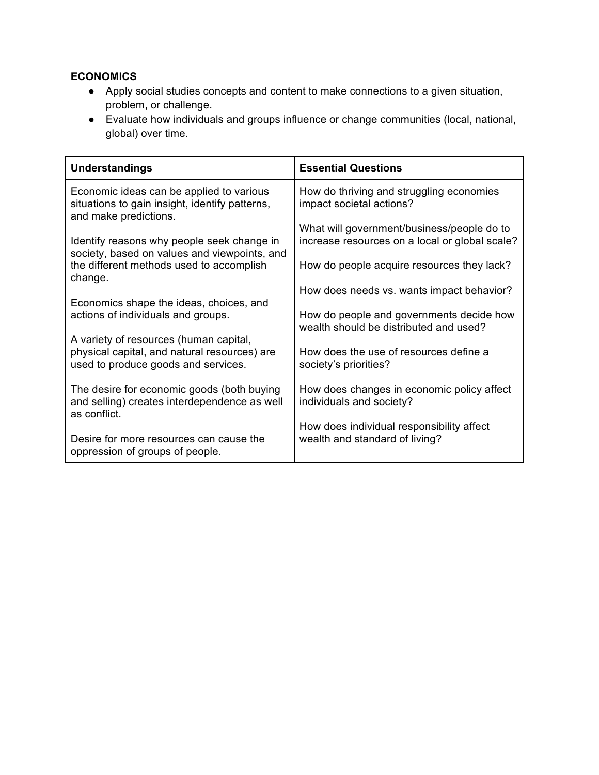## **ECONOMICS**

- Apply social studies concepts and content to make connections to a given situation, problem, or challenge.
- Evaluate how individuals and groups influence or change communities (local, national, global) over time.

| <b>Understandings</b>                                                                                                         | <b>Essential Questions</b>                                                                   |
|-------------------------------------------------------------------------------------------------------------------------------|----------------------------------------------------------------------------------------------|
| Economic ideas can be applied to various<br>situations to gain insight, identify patterns,<br>and make predictions.           | How do thriving and struggling economies<br>impact societal actions?                         |
| Identify reasons why people seek change in                                                                                    | What will government/business/people do to<br>increase resources on a local or global scale? |
| society, based on values and viewpoints, and<br>the different methods used to accomplish<br>change.                           | How do people acquire resources they lack?                                                   |
|                                                                                                                               | How does needs vs. wants impact behavior?                                                    |
| Economics shape the ideas, choices, and<br>actions of individuals and groups.                                                 | How do people and governments decide how<br>wealth should be distributed and used?           |
| A variety of resources (human capital,<br>physical capital, and natural resources) are<br>used to produce goods and services. | How does the use of resources define a<br>society's priorities?                              |
| The desire for economic goods (both buying<br>and selling) creates interdependence as well<br>as conflict.                    | How does changes in economic policy affect<br>individuals and society?                       |
| Desire for more resources can cause the<br>oppression of groups of people.                                                    | How does individual responsibility affect<br>wealth and standard of living?                  |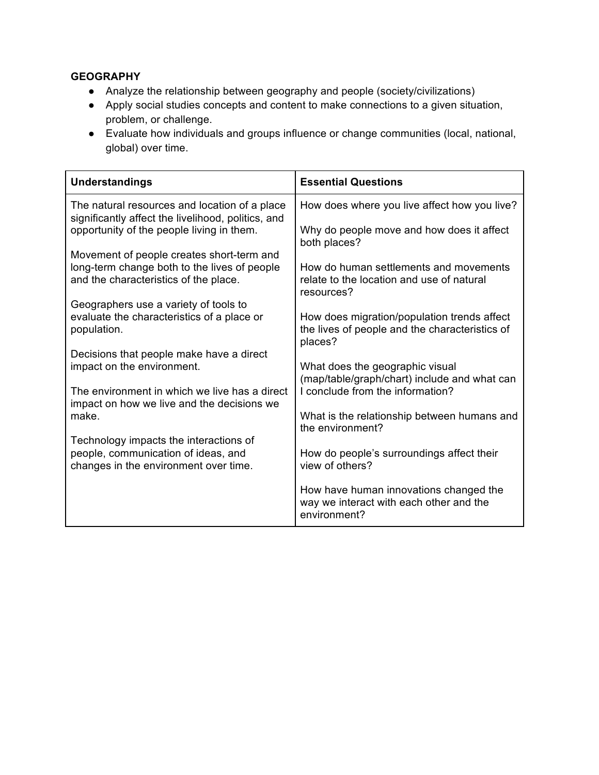### **GEOGRAPHY**

- Analyze the relationship between geography and people (society/civilizations)
- Apply social studies concepts and content to make connections to a given situation, problem, or challenge.
- Evaluate how individuals and groups influence or change communities (local, national, global) over time.

| <b>Understandings</b>                                                                               | <b>Essential Questions</b>                                                                               |
|-----------------------------------------------------------------------------------------------------|----------------------------------------------------------------------------------------------------------|
| The natural resources and location of a place<br>significantly affect the livelihood, politics, and | How does where you live affect how you live?                                                             |
| opportunity of the people living in them.                                                           | Why do people move and how does it affect<br>both places?                                                |
| Movement of people creates short-term and                                                           |                                                                                                          |
| long-term change both to the lives of people<br>and the characteristics of the place.               | How do human settlements and movements<br>relate to the location and use of natural<br>resources?        |
| Geographers use a variety of tools to                                                               |                                                                                                          |
| evaluate the characteristics of a place or<br>population.                                           | How does migration/population trends affect<br>the lives of people and the characteristics of<br>places? |
| Decisions that people make have a direct                                                            |                                                                                                          |
| impact on the environment.                                                                          | What does the geographic visual                                                                          |
|                                                                                                     | (map/table/graph/chart) include and what can                                                             |
| The environment in which we live has a direct<br>impact on how we live and the decisions we         | I conclude from the information?                                                                         |
| make.                                                                                               | What is the relationship between humans and<br>the environment?                                          |
| Technology impacts the interactions of                                                              |                                                                                                          |
| people, communication of ideas, and<br>changes in the environment over time.                        | How do people's surroundings affect their<br>view of others?                                             |
|                                                                                                     | How have human innovations changed the<br>way we interact with each other and the<br>environment?        |